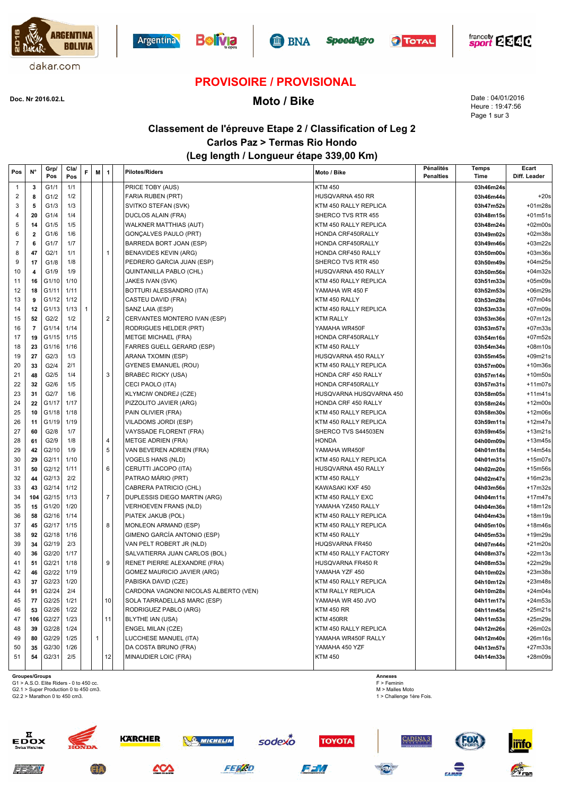











# **PROVISOIRE / PROVISIONAL**

# **Moto / Bike Doc. Nr 2016.02.L**

Date : 04/01/2016 Heure : 19:47:56 Page 1 sur 3

### **Classement de l'épreuve Etape 2 / Classification of Leg 2 Carlos Paz > Termas Rio Hondo (Leg length / Longueur étape 339,00 Km)**

| Pos            | N°             | Grp/<br>Pos | Cla/<br>Pos | F. | M            | 1              | <b>Pilotes/Riders</b><br>Moto / Bike             |                          | Pénalités<br><b>Penalties</b> | <b>Temps</b><br>Time | Ecart<br>Diff. Leader |
|----------------|----------------|-------------|-------------|----|--------------|----------------|--------------------------------------------------|--------------------------|-------------------------------|----------------------|-----------------------|
| $\overline{1}$ | 3              | G1/1        | 1/1         |    |              |                | PRICE TOBY (AUS)<br><b>KTM 450</b>               |                          |                               | 03h46m24s            |                       |
| 2              | 8              | G1/2        | 1/2         |    |              |                | FARIA RUBEN (PRT)                                | HUSQVARNA 450 RR         |                               | 03h46m44s            | $+20s$                |
| 3              | 5              | G1/3        | 1/3         |    |              |                | SVITKO STEFAN (SVK)                              | KTM 450 RALLY REPLICA    |                               | 03h47m52s            | $+01m28s$             |
| 4              | 20             | G1/4        | 1/4         |    |              |                | <b>DUCLOS ALAIN (FRA)</b>                        | SHERCO TVS RTR 455       |                               | 03h48m15s            | $+01m51s$             |
| 5              | 14             | G1/5        | 1/5         |    |              |                | <b>WALKNER MATTHIAS (AUT)</b>                    | KTM 450 RALLY REPLICA    |                               | 03h48m24s            | $+02m00s$             |
| 6              | $\overline{2}$ | G1/6        | 1/6         |    |              |                | GONÇALVES PAULO (PRT)                            | HONDA CRF450RALLY        |                               | 03h49m02s            | +02m38s               |
| 7              | 6              | G1/7        | 1/7         |    |              |                | BARREDA BORT JOAN (ESP)                          | HONDA CRF450RALLY        |                               | 03h49m46s            | +03m22s               |
| 8              | 47             | G2/1        | 1/1         |    |              | $\mathbf{1}$   | <b>BENAVIDES KEVIN (ARG)</b>                     | HONDA CRF450 RALLY       |                               | 03h50m00s            | $+03m36s$             |
| 9              | 17             | G1/8        | 1/8         |    |              |                | PEDRERO GARCIA JUAN (ESP)                        | SHERCO TVS RTR 450       |                               | 03h50m49s            | $+04m25s$             |
| 10             | 4              | G1/9        | 1/9         |    |              |                | QUINTANILLA PABLO (CHL)                          | HUSQVARNA 450 RALLY      |                               | 03h50m56s            | $+04m32s$             |
| 11             | 16             | G1/10       | 1/10        |    |              |                | JAKES IVAN (SVK)                                 | KTM 450 RALLY REPLICA    |                               | 03h51m33s            | $+05m09s$             |
| 12             | 18             | G1/11       | 1/11        |    |              |                | BOTTURI ALESSANDRO (ITA)                         | YAMAHA WR 450 F          |                               | 03h52m53s            | +06m29s               |
| 13             | 9              | G1/12       | 1/12        |    |              |                | CASTEU DAVID (FRA)                               | KTM 450 RALLY            |                               | 03h53m28s            | $+07m04s$             |
| 14             | 12             | G1/13       | 1/13        | 1  |              |                | SANZ LAIA (ESP)                                  | KTM 450 RALLY REPLICA    |                               | 03h53m33s            | $+07m09s$             |
| 15             | 52             | G2/2        | 1/2         |    |              | $\overline{2}$ | CERVANTES MONTERO IVAN (ESP)<br><b>KTM RALLY</b> |                          |                               | 03h53m36s            | $+07m12s$             |
| 16             | $\overline{7}$ | G1/14       | 1/14        |    |              |                | RODRIGUES HELDER (PRT)                           | YAMAHA WR450F            |                               | 03h53m57s            | $+07m33s$             |
| 17             | 19             | G1/15       | 1/15        |    |              |                | <b>METGE MICHAEL (FRA)</b>                       | HONDA CRF450RALLY        |                               | 03h54m16s            | +07m52s               |
| 18             | 23             | G1/16       | 1/16        |    |              |                | <b>FARRES GUELL GERARD (ESP)</b>                 | KTM 450 RALLY            |                               | 03h54m34s            | +08m10s               |
| 19             | 27             | G2/3        | 1/3         |    |              |                | ARANA TXOMIN (ESP)                               | HUSQVARNA 450 RALLY      |                               | 03h55m45s            | $+09m21s$             |
| 20             | 33             | G2/4        | 2/1         |    |              |                | <b>GYENES EMANUEL (ROU)</b>                      | KTM 450 RALLY REPLICA    |                               | 03h57m00s            | $+10m36s$             |
| 21             | 48             | G2/5        | 1/4         |    |              | 3              | <b>BRABEC RICKY (USA)</b>                        | HONDA CRF 450 RALLY      |                               | 03h57m14s            | +10m50s               |
| 22             | 32             | G2/6        | 1/5         |    |              |                | CECI PAOLO (ITA)                                 | HONDA CRF450RALLY        |                               | 03h57m31s            | $+11m07s$             |
| 23             | 31             | G2/7        | 1/6         |    |              |                | <b>KLYMCIW ONDREJ (CZE)</b>                      | HUSQVARNA HUSQVARNA 450  |                               | 03h58m05s            | $+11m41s$             |
| 24             | 22             | G1/17       | 1/17        |    |              |                | PIZZOLITO JAVIER (ARG)                           | HONDA CRF 450 RALLY      |                               | 03h58m24s            | $+12m00s$             |
| 25             | 10             | G1/18       | 1/18        |    |              |                | PAIN OLIVIER (FRA)                               | KTM 450 RALLY REPLICA    |                               | 03h58m30s            | $+12m06s$             |
| 26             | 11             | G1/19       | 1/19        |    |              |                | VILADOMS JORDI (ESP)                             | KTM 450 RALLY REPLICA    |                               | 03h59m11s            | $+12m47s$             |
| 27             | 60             | G2/8        | 1/7         |    |              |                | VAYSSADE FLORENT (FRA)                           | SHERCO TVS S44503EN      |                               | 03h59m45s            | $+13m21s$             |
| 28             | 61             | G2/9        | 1/8         |    |              | 4              | <b>HONDA</b><br><b>METGE ADRIEN (FRA)</b>        |                          |                               | 04h00m09s            | $+13m45s$             |
| 29             | 42             | G2/10       | 1/9         |    |              | 5              | VAN BEVEREN ADRIEN (FRA)                         | YAMAHA WR450F            |                               | 04h01m18s            | $+14m54s$             |
| 30             | 29             | G2/11       | 1/10        |    |              |                | <b>VOGELS HANS (NLD)</b>                         | KTM 450 RALLY REPLICA    |                               | 04h01m31s            | $+15m07s$             |
| 31             | 50             | G2/12       | 1/11        |    |              | 6              | CERUTTI JACOPO (ITA)                             | HUSQVARNA 450 RALLY      |                               | 04h02m20s            | +15m56s               |
| 32             | 44             | G2/13       | 2/2         |    |              |                | PATRAO MÁRIO (PRT)                               | KTM 450 RALLY            |                               | 04h02m47s            | $+16m23s$             |
| 33             | 43             | G2/14       | 1/12        |    |              |                | CABRERA PATRICIO (CHL)                           | KAWASAKI KXF 450         |                               | 04h03m56s            | +17m32s               |
| 34             | 104            | G2/15       | 1/13        |    |              | $\overline{7}$ | DUPLESSIS DIEGO MARTIN (ARG)                     | KTM 450 RALLY EXC        |                               | 04h04m11s            | $+17m47s$             |
| 35             | 15             | G1/20       | 1/20        |    |              |                | <b>VERHOEVEN FRANS (NLD)</b>                     | YAMAHA YZ450 RALLY       |                               | 04h04m36s            | $+18m12s$             |
| 36             | 58             | G2/16       | 1/14        |    |              |                | PIATEK JAKUB (POL)                               | KTM 450 RALLY REPLICA    |                               | 04h04m43s            | +18m19s               |
| 37             | 45             | G2/17       | 1/15        |    |              | 8              | MONLEON ARMAND (ESP)                             | KTM 450 RALLY REPLICA    |                               | 04h05m10s            | $+18m46s$             |
| 38             | 92             | G2/18       | 1/16        |    |              |                | GIMENO GARCÍA ANTONIO (ESP)                      | KTM 450 RALLY            |                               | 04h05m53s            | +19m29s               |
| 39             | 34             | G2/19       | 2/3         |    |              |                | VAN PELT ROBERT JR (NLD)                         | <b>HUQSVARNA FR450</b>   |                               | 04h07m44s            | $+21m20s$             |
| 40             | 36             | G2/20       | 1/17        |    |              |                | SALVATIERRA JUAN CARLOS (BOL)                    | KTM 450 RALLY FACTORY    |                               | 04h08m37s            | $+22m13s$             |
| 41             | 51             | G2/21       | 1/18        |    |              | 9              | RENET PIERRE ALEXANDRE (FRA)                     | <b>HUSQVARNA FR450 R</b> |                               | 04h08m53s            | +22m29s               |
| 42             | 46             | G2/22       | 1/19        |    |              |                | GOMEZ MAURICIO JAVIER (ARG)                      | YAMAHA YZF 450           |                               | 04h10m02s            | +23m38s               |
| 43             | 37             | G2/23       | 1/20        |    |              |                | PABISKA DAVID (CZE)                              | KTM 450 RALLY REPLICA    |                               | 04h10m12s            | $+23m48s$             |
| 44             | 91             | G2/24       | 2/4         |    |              |                | CARDONA VAGNONI NICOLAS ALBERTO (VEN)            | KTM RALLY REPLICA        |                               | 04h10m28s            | $+24m04s$             |
| 45             | 77             | G2/25       | 1/21        |    |              | 10             | SOLA TARRADELLAS MARC (ESP)                      | YAMAHA WR 450 JVO        |                               | 04h11m17s            | $+24m53s$             |
| 46             | 53             | G2/26       | 1/22        |    |              |                | RODRIGUEZ PABLO (ARG)<br><b>KTM 450 RR</b>       |                          |                               | 04h11m45s            | $+25m21s$             |
| 47             | 106            | G2/27       | 1/23        |    |              | 11             | BLYTHE IAN (USA)<br>KTM 450RR                    |                          |                               | 04h11m53s            | $+25m29s$             |
| 48             | 39             | G2/28       | 1/24        |    |              |                | <b>ENGEL MILAN (CZE)</b>                         | KTM 450 RALLY REPLICA    |                               | 04h12m26s            | $+26m02s$             |
| 49             | 80             | G2/29       | 1/25        |    | $\mathbf{1}$ |                | LUCCHESE MANUEL (ITA)                            | YAMAHA WR450F RALLY      |                               | 04h12m40s            | $+26m16s$             |
| 50             | 35             | G2/30       | 1/26        |    |              |                | DA COSTA BRUNO (FRA)                             | YAMAHA 450 YZF           |                               | 04h13m57s            | $+27m33s$             |
| 51             | 54             | G2/31       | 2/5         |    |              | 12             | MINAUDIER LOIC (FRA)<br><b>KTM 450</b>           |                          |                               | 04h14m33s            | $+28m09s$             |

 $z \neq 7.7$ 

**Groupes/Groups**<br>G1 > A.S.O. Elite Riders - 0 to 450 cc.<br>G2.1 > Super Production 0 to 450 cm3.

G2.2 > Marathon 0 to 450 cm3.

**Annexes** F > Feminin M > Malles Moto 1 > Challenge 1ère Fois.



GI7



**FERZD** 



FFM



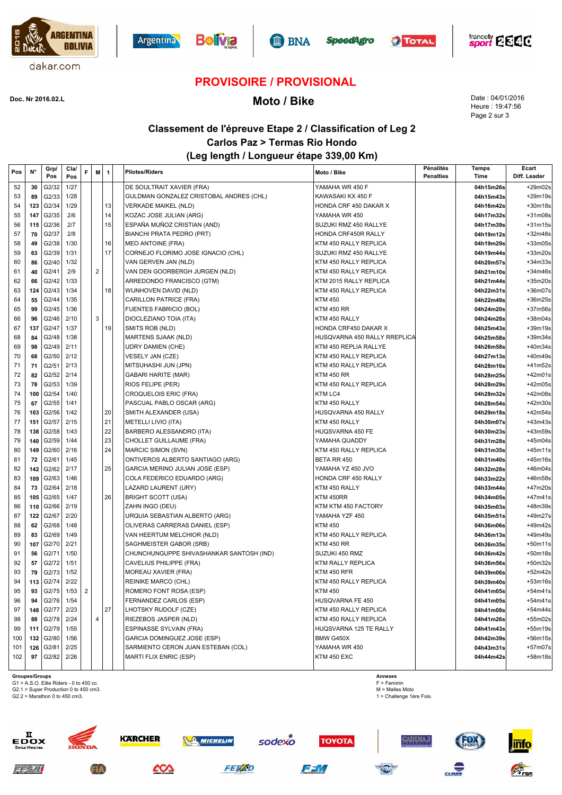











### **PROVISOIRE / PROVISIONAL**

**Moto / Bike Doc. Nr 2016.02.L**

Date : 04/01/2016 Heure : 19:47:56 Page 2 sur 3

### **Classement de l'épreuve Etape 2 / Classification of Leg 2 Carlos Paz > Termas Rio Hondo (Leg length / Longueur étape 339,00 Km)**

| Pos | $N^{\circ}$ | Grp/<br>Pos | Cla/<br>Pos | F              | M                       | $\mathbf{1}$ | <b>Pilotes/Riders</b>                    | Moto / Bike                  | Pénalités<br><b>Penalties</b> | <b>Temps</b><br>Time | Ecart<br>Diff. Leader |
|-----|-------------|-------------|-------------|----------------|-------------------------|--------------|------------------------------------------|------------------------------|-------------------------------|----------------------|-----------------------|
| 52  | 30          | G2/32       | 1/27        |                |                         |              | DE SOULTRAIT XAVIER (FRA)                | YAMAHA WR 450 F              |                               | 04h15m26s            | $+29m02s$             |
| 53  | 89          | G2/33       | 1/28        |                |                         |              | GULDMAN GONZALEZ CRISTOBAL ANDRES (CHL)  | KAWASAKI KX 450 F            |                               | 04h15m43s            | $+29m19s$             |
| 54  | 123         | G2/34       | 1/29        |                |                         | 13           | <b>VERKADE MAIKEL (NLD)</b>              | HONDA CRF 450 DAKAR X        |                               | 04h16m42s            | $+30m18s$             |
| 55  | 147         | G2/35       | 2/6         |                |                         | 14           | KOZAC JOSE JULIAN (ARG)                  | YAMAHA WR 450                |                               | 04h17m32s            | $+31m08s$             |
| 56  | 115         | G2/36       | 2/7         |                |                         | 15           | ESPAÑA MUÑOZ CRISTIAN (AND)              | SUZUKI RMZ 450 RALLYE        |                               | 04h17m39s            | $+31m15s$             |
| 57  | 70          | G2/37       | 2/8         |                |                         |              | BIANCHI PRATA PEDRO (PRT)                | HONDA CRF450R RALLY          |                               | 04h19m12s            | $+32m48s$             |
| 58  | 49          | G2/38       | 1/30        |                |                         | 16           | <b>MEO ANTOINE (FRA)</b>                 | KTM 450 RALLY REPLICA        |                               | 04h19m29s            | $+33m05s$             |
| 59  | 63          | G2/39       | 1/31        |                |                         | 17           | CORNEJO FLORIMO JOSE IGNACIO (CHL)       | SUZUKI RMZ 450 RALLYE        |                               | 04h19m44s            | $+33m20s$             |
| 60  | 86          | G2/40       | 1/32        |                |                         |              | VAN GERVEN JAN (NLD)                     | KTM 450 RALLY REPLICA        |                               | 04h20m57s            | $+34m33s$             |
| 61  | 40          | G2/41       | 2/9         |                | $\overline{c}$          |              | VAN DEN GOORBERGH JURGEN (NLD)           | KTM 450 RALLY REPLICA        |                               | 04h21m10s            | $+34m46s$             |
| 62  | 66          | G2/42       | 1/33        |                |                         |              | ARREDONDO FRANCISCO (GTM)                | KTM 2015 RALLY REPLICA       |                               | 04h21m44s            | $+35m20s$             |
| 63  | 124         | G2/43       | 1/34        |                |                         | 18           | WIJNHOVEN DAVID (NLD)                    | KTM 450 RALLY REPLICA        |                               | 04h22m31s            | $+36m07s$             |
| 64  | 55          | G2/44       | 1/35        |                |                         |              | CARILLON PATRICE (FRA)                   | <b>KTM 450</b>               |                               | 04h22m49s            | $+36m25s$             |
| 65  | 99          | G2/45       | 1/36        |                |                         |              | <b>FUENTES FABRICIO (BOL)</b>            | <b>KTM 450 RR</b>            |                               | 04h24m20s            | $+37m56s$             |
| 66  | 96          | G2/46       | 2/10        |                | 3                       |              | DIOCLEZIANO TOIA (ITA)                   | KTM 450 RALLY                |                               | 04h24m28s            | $+38m04s$             |
| 67  | 137         | G2/47       | 1/37        |                |                         | 19           | SMITS ROB (NLD)                          | HONDA CRF450 DAKAR X         |                               | 04h25m43s            | +39m19s               |
| 68  | 84          | G2/48       | 1/38        |                |                         |              | <b>MARTENS SJAAK (NLD)</b>               | HUSQVARNA 450 RALLY RREPLICA |                               | 04h25m58s            | $+39m34s$             |
| 69  | 98          | G2/49       | 2/11        |                |                         |              | <b>UDRY DAMIEN (CHE)</b>                 | KTM 450 REPLIA RALLYE        |                               | 04h26m58s            | +40m34s               |
| 70  | 68          | G2/50       | 2/12        |                |                         |              | VESELY JAN (CZE)                         | KTM 450 RALLY REPLICA        |                               | 04h27m13s            | +40m49s               |
| 71  | 71          | G2/51       | 2/13        |                |                         |              | MITSUHASHI JUN (JPN)                     | KTM 450 RALLY REPLICA        |                               | 04h28m16s            | +41m52s               |
| 72  | 82          | G2/52       | 2/14        |                |                         |              | <b>GABARI HARITE (MAR)</b>               | <b>KTM 450 RR</b>            |                               | 04h28m25s            | $+42m01s$             |
| 73  | 78          | G2/53       | 1/39        |                |                         |              | RIOS FELIPE (PER)                        | KTM 450 RALLY REPLICA        |                               | 04h28m29s            | +42m05s               |
| 74  | 100         | G2/54       | 1/40        |                |                         |              | <b>CROQUELOIS ERIC (FRA)</b>             | KTM LC4                      |                               | 04h28m32s            | +42m08s               |
| 75  | 67          | G2/55       | 1/41        |                |                         |              | PASCUAL PABLO OSCAR (ARG)                | KTM 450 RALLY                |                               | 04h28m54s            | +42m30s               |
| 76  | 103         | G2/56       | 1/42        |                |                         | 20           | SMITH ALEXANDER (USA)                    | HUSQVARNA 450 RALLY          |                               | 04h29m18s            | +42m54s               |
| 77  | 151         | G2/57       | 2/15        |                |                         | 21           | METELLI LIVIO (ITA)                      | KTM 450 RALLY                |                               | 04h30m07s            | $+43m43s$             |
| 78  | 138         | G2/58       | 1/43        |                |                         | 22           | BARBERO ALESSANDRO (ITA)                 | HUQSVARNA 450 FE             |                               | 04h30m23s            | +43m59s               |
| 79  | 140         | G2/59       | 1/44        |                |                         | 23           | CHOLLET GUILLAUME (FRA)                  | YAMAHA QUADDY                |                               | 04h31m28s            | $+45m04s$             |
| 80  | 149         | G2/60       | 2/16        |                |                         | 24           | <b>MARCIC SIMON (SVN)</b>                | KTM 450 RALLY REPLICA        |                               | 04h31m35s            | $+45m11s$             |
| 81  | 72          | G2/61       | 1/45        |                |                         |              | ONTIVEROS ALBERTO SANTIAGO (ARG)         | BETA RR 450                  |                               | 04h31m40s            | $+45m16s$             |
| 82  | 142         | G2/62       | 2/17        |                |                         | 25           | GARCIA MERINO JULIAN JOSE (ESP)          | YAMAHA YZ 450 JVO            |                               | 04h32m28s            | $+46m04s$             |
| 83  | 109         | G2/63       | 1/46        |                |                         |              | COLA FEDERICO EDUARDO (ARG)              | HONDA CRF 450 RALLY          |                               | 04h33m22s            | +46m58s               |
| 84  | 73          | G2/64       | 2/18        |                |                         |              | LAZARD LAURENT (URY)                     | KTM 450 RALLY                |                               | 04h33m44s            | +47m20s               |
| 85  | 105         | G2/65       | 1/47        |                |                         | 26           | <b>BRIGHT SCOTT (USA)</b>                | KTM 450RR                    |                               | 04h34m05s            | $+47m41s$             |
| 86  | 110         | G2/66       | 2/19        |                |                         |              | ZAHN INGO (DEU)                          | KTM KTM 450 FACTORY          |                               | 04h35m03s            | +48m39s               |
| 87  | 122         | G2/67       | 2/20        |                |                         |              | URQUIA SEBASTIAN ALBERTO (ARG)           | YAMAHA YZF 450               |                               | 04h35m51s            | +49m27s               |
| 88  | 62          | G2/68       | 1/48        |                |                         |              | OLIVERAS CARRERAS DANIEL (ESP)           | <b>KTM 450</b>               |                               | 04h36m06s            | +49m42s               |
| 89  | 83          | G2/69       | 1/49        |                |                         |              | VAN HEERTUM MELCHIOR (NLD)               | KTM 450 RALLY REPLICA        |                               | 04h36m13s            | +49m49s               |
| 90  | 107         | G2/70       | 2/21        |                |                         |              | SAGHMEISTER GABOR (SRB)                  | <b>KTM 450 RR</b>            |                               | 04h36m35s            | $+50m11s$             |
| 91  | 56          | G2/71       | 1/50        |                |                         |              | CHUNCHUNGUPPE SHIVASHANKAR SANTOSH (IND) | SUZUKI 450 RMZ               |                               | 04h36m42s            | $+50m18s$             |
| 92  | 57          | G2/72       | 1/51        |                |                         |              | CAVELIUS PHILIPPE (FRA)                  | KTM RALLY REPLICA            |                               | 04h36m56s            | $+50m32s$             |
| 93  | 79          | G2/73       | 1/52        |                |                         |              | MOREAU XAVIER (FRA)                      | KTM 450 RFR                  |                               | 04h39m06s            | $+52m42s$             |
| 94  | 113         | G2/74       | 2/22        |                |                         |              | REINIKE MARCO (CHL)                      | KTM 450 RALLY REPLICA        |                               | 04h39m40s            | $+53m16s$             |
| 95  | 93          | G2/75       | 1/53        | $\overline{2}$ |                         |              | ROMERO FONT ROSA (ESP)                   | <b>KTM 450</b>               |                               | 04h41m05s            | $+54m41s$             |
| 96  | 94          | G2/76       | 1/54        |                |                         |              | FERNANDEZ CARLOS (ESP)                   | HUSQVARNA FE 450             |                               | 04h41m05s            | $+54m41s$             |
| 97  | 148         | G2/77       | 2/23        |                |                         | 27           | LHOTSKY RUDOLF (CZE)                     | KTM 450 RALLY REPLICA        |                               | 04h41m08s            | $+54m44s$             |
| 98  | 88          | G2/78       | 2/24        |                | $\overline{\mathbf{4}}$ |              | RIEZEBOS JASPER (NLD)                    | KTM 450 RALLY REPLICA        |                               | 04h41m26s            | $+55m02s$             |
| 99  | 111         | G2/79       | 1/55        |                |                         |              | <b>ESPINASSE SYLVAIN (FRA)</b>           | HUQSVARNA 125 TE RALLY       |                               | 04h41m43s            | $+55m19s$             |
| 100 | 132         | G2/80       | 1/56        |                |                         |              | GARCIA DOMINGUEZ JOSE (ESP)              | BMW G450X                    |                               | 04h42m39s            | $+56m15s$             |
| 101 | 126         | G2/81       | 2/25        |                |                         |              | SARMIENTO CERON JUAN ESTEBAN (COL)       | YAMAHA WR 450                |                               | 04h43m31s            | $+57m07s$             |
| 102 | 97          | G2/82       | 2/26        |                |                         |              | MARTI FLIX ENRIC (ESP)                   | KTM 450 EXC                  |                               | 04h44m42s            | +58m18s               |
|     |             |             |             |                |                         |              |                                          |                              |                               |                      |                       |

 $z \neq 7.7$ 

**Groupes/Groups** G1 > A.S.O. Elite Riders - 0 to 450 cc. G2.1 > Super Production 0 to 450 cm3.

G2.2 > Marathon 0 to 450 cm3.

**Annexes** F > Feminin M > Malles Moto 1 > Challenge 1ère Fois.

**CADENA 3** 



**ED** 





**SO MICHELIN** 



**TOYOTA** 

sodexo